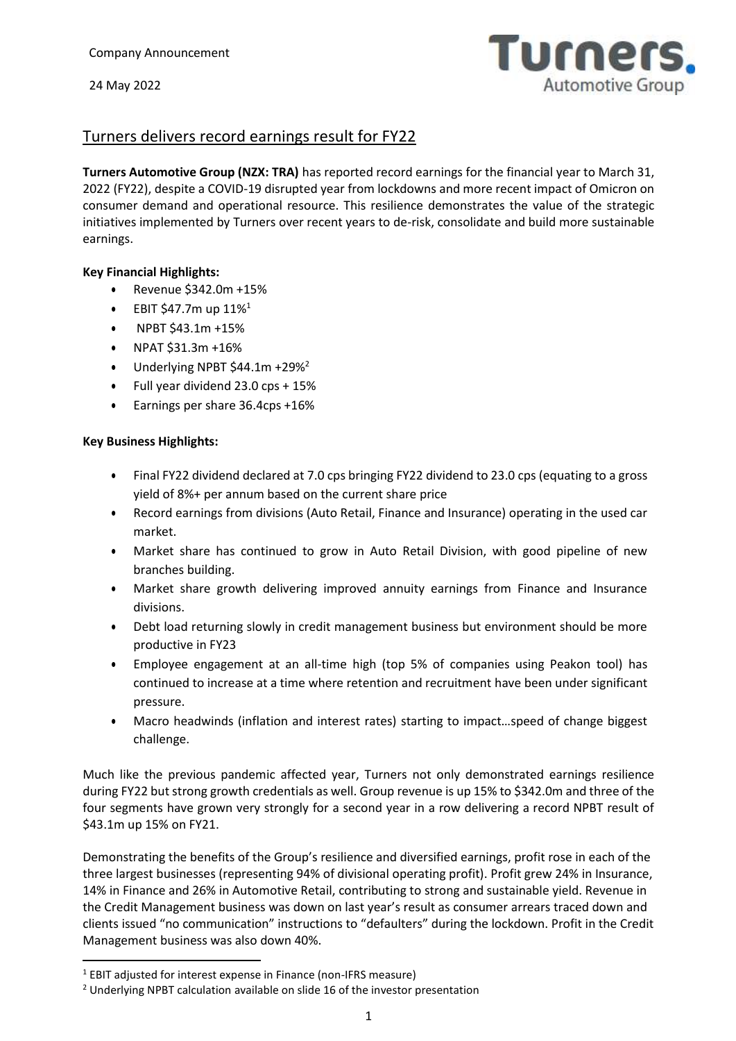

# Turners delivers record earnings result for FY22

**Turners Automotive Group (NZX: TRA)** has reported record earnings for the financial year to March 31, 2022 (FY22), despite a COVID-19 disrupted year from lockdowns and more recent impact of Omicron on consumer demand and operational resource. This resilience demonstrates the value of the strategic initiatives implemented by Turners over recent years to de-risk, consolidate and build more sustainable earnings.

## **Key Financial Highlights:**

- Revenue \$342.0m +15%
- EBIT \$47.7m up  $11\%^1$
- NPBT \$43.1m +15%
- NPAT \$31.3m +16%
- $\bullet$  Underlying NPBT \$44.1m +29%<sup>2</sup>
- Full year dividend 23.0 cps + 15%
- Earnings per share 36.4cps +16%

#### **Key Business Highlights:**

- Final FY22 dividend declared at 7.0 cps bringing FY22 dividend to 23.0 cps (equating to a gross yield of 8%+ per annum based on the current share price
- Record earnings from divisions (Auto Retail, Finance and Insurance) operating in the used car market.
- Market share has continued to grow in Auto Retail Division, with good pipeline of new branches building.
- Market share growth delivering improved annuity earnings from Finance and Insurance divisions.
- Debt load returning slowly in credit management business but environment should be more productive in FY23
- Employee engagement at an all-time high (top 5% of companies using Peakon tool) has continued to increase at a time where retention and recruitment have been under significant pressure.
- Macro headwinds (inflation and interest rates) starting to impact…speed of change biggest challenge.

Much like the previous pandemic affected year, Turners not only demonstrated earnings resilience during FY22 but strong growth credentials as well. Group revenue is up 15% to \$342.0m and three of the four segments have grown very strongly for a second year in a row delivering a record NPBT result of \$43.1m up 15% on FY21.

Demonstrating the benefits of the Group's resilience and diversified earnings, profit rose in each of the three largest businesses (representing 94% of divisional operating profit). Profit grew 24% in Insurance, 14% in Finance and 26% in Automotive Retail, contributing to strong and sustainable yield. Revenue in the Credit Management business was down on last year's result as consumer arrears traced down and clients issued "no communication" instructions to "defaulters" during the lockdown. Profit in the Credit Management business was also down 40%.

 $\ddot{\phantom{a}}$ 

 $1$  EBIT adjusted for interest expense in Finance (non-IFRS measure)

<sup>&</sup>lt;sup>2</sup> Underlying NPBT calculation available on slide 16 of the investor presentation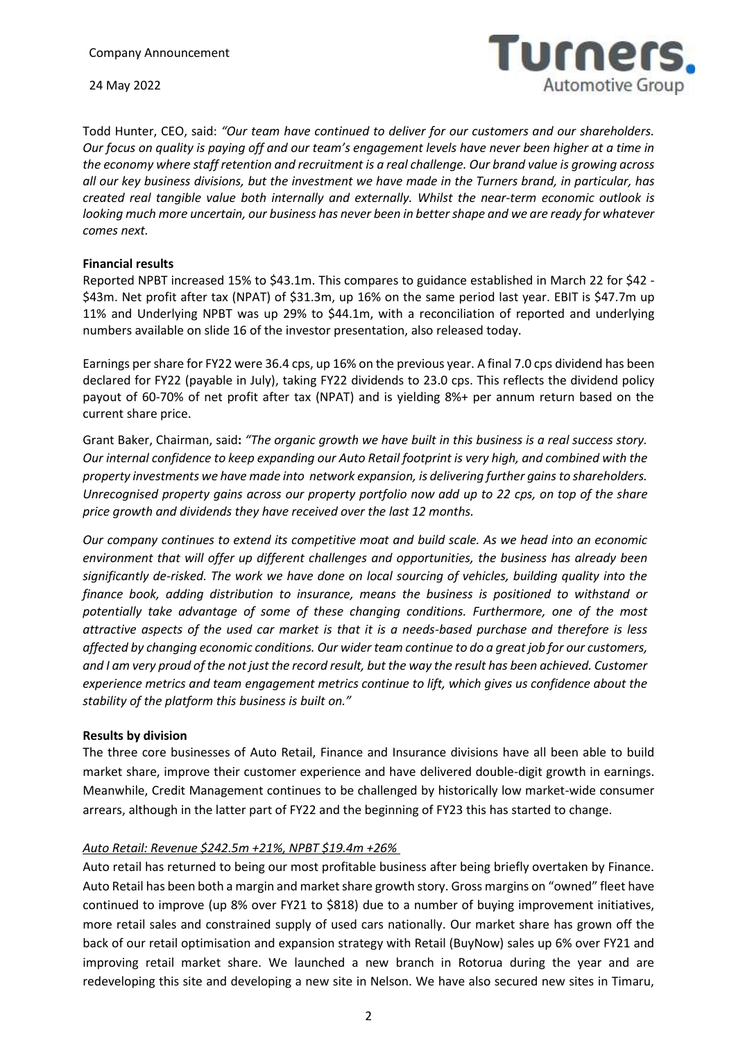

Todd Hunter, CEO, said: *"Our team have continued to deliver for our customers and our shareholders. Our focus on quality is paying off and our team's engagement levels have never been higher at a time in the economy where staff retention and recruitment is a real challenge. Our brand value is growing across all our key business divisions, but the investment we have made in the Turners brand, in particular, has created real tangible value both internally and externally. Whilst the near-term economic outlook is looking much more uncertain, our business has never been in better shape and we are ready for whatever comes next.*

#### **Financial results**

Reported NPBT increased 15% to \$43.1m. This compares to guidance established in March 22 for \$42 - \$43m. Net profit after tax (NPAT) of \$31.3m, up 16% on the same period last year. EBIT is \$47.7m up 11% and Underlying NPBT was up 29% to \$44.1m, with a reconciliation of reported and underlying numbers available on slide 16 of the investor presentation, also released today.

Earnings per share for FY22 were 36.4 cps, up 16% on the previous year. A final 7.0 cps dividend has been declared for FY22 (payable in July), taking FY22 dividends to 23.0 cps. This reflects the dividend policy payout of 60-70% of net profit after tax (NPAT) and is yielding 8%+ per annum return based on the current share price.

Grant Baker, Chairman, said**:** *"The organic growth we have built in this business is a real success story. Our internal confidence to keep expanding our Auto Retail footprint is very high, and combined with the property investments we have made into network expansion, is delivering further gains to shareholders. Unrecognised property gains across our property portfolio now add up to 22 cps, on top of the share price growth and dividends they have received over the last 12 months.* 

*Our company continues to extend its competitive moat and build scale. As we head into an economic environment that will offer up different challenges and opportunities, the business has already been significantly de-risked. The work we have done on local sourcing of vehicles, building quality into the finance book, adding distribution to insurance, means the business is positioned to withstand or potentially take advantage of some of these changing conditions. Furthermore, one of the most attractive aspects of the used car market is that it is a needs-based purchase and therefore is less affected by changing economic conditions. Our wider team continue to do a great job for our customers, and I am very proud of the not just the record result, but the way the result has been achieved. Customer experience metrics and team engagement metrics continue to lift, which gives us confidence about the stability of the platform this business is built on."*

## **Results by division**

The three core businesses of Auto Retail, Finance and Insurance divisions have all been able to build market share, improve their customer experience and have delivered double-digit growth in earnings. Meanwhile, Credit Management continues to be challenged by historically low market-wide consumer arrears, although in the latter part of FY22 and the beginning of FY23 this has started to change.

## *Auto Retail: Revenue \$242.5m +21%, NPBT \$19.4m +26%*

Auto retail has returned to being our most profitable business after being briefly overtaken by Finance. Auto Retail has been both a margin and market share growth story. Gross margins on "owned" fleet have continued to improve (up 8% over FY21 to \$818) due to a number of buying improvement initiatives, more retail sales and constrained supply of used cars nationally. Our market share has grown off the back of our retail optimisation and expansion strategy with Retail (BuyNow) sales up 6% over FY21 and improving retail market share. We launched a new branch in Rotorua during the year and are redeveloping this site and developing a new site in Nelson. We have also secured new sites in Timaru,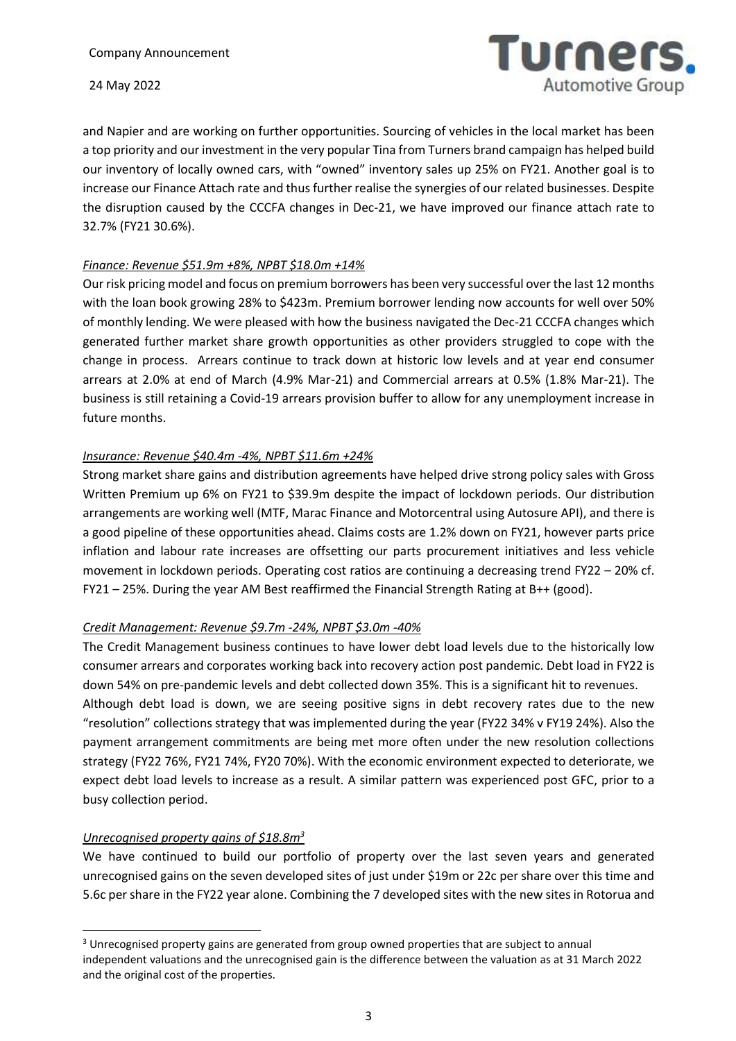

and Napier and are working on further opportunities. Sourcing of vehicles in the local market has been a top priority and our investment in the very popular Tina from Turners brand campaign has helped build our inventory of locally owned cars, with "owned" inventory sales up 25% on FY21. Another goal is to increase our Finance Attach rate and thus further realise the synergies of our related businesses. Despite the disruption caused by the CCCFA changes in Dec-21, we have improved our finance attach rate to 32.7% (FY21 30.6%).

## *Finance: Revenue \$51.9m +8%, NPBT \$18.0m +14%*

Our risk pricing model and focus on premium borrowers has been very successful over the last 12 months with the loan book growing 28% to \$423m. Premium borrower lending now accounts for well over 50% of monthly lending. We were pleased with how the business navigated the Dec-21 CCCFA changes which generated further market share growth opportunities as other providers struggled to cope with the change in process. Arrears continue to track down at historic low levels and at year end consumer arrears at 2.0% at end of March (4.9% Mar-21) and Commercial arrears at 0.5% (1.8% Mar-21). The business is still retaining a Covid-19 arrears provision buffer to allow for any unemployment increase in future months.

## *Insurance: Revenue \$40.4m -4%, NPBT \$11.6m +24%*

Strong market share gains and distribution agreements have helped drive strong policy sales with Gross Written Premium up 6% on FY21 to \$39.9m despite the impact of lockdown periods. Our distribution arrangements are working well (MTF, Marac Finance and Motorcentral using Autosure API), and there is a good pipeline of these opportunities ahead. Claims costs are 1.2% down on FY21, however parts price inflation and labour rate increases are offsetting our parts procurement initiatives and less vehicle movement in lockdown periods. Operating cost ratios are continuing a decreasing trend FY22 – 20% cf. FY21 – 25%. During the year AM Best reaffirmed the Financial Strength Rating at B++ (good).

## *Credit Management: Revenue \$9.7m -24%, NPBT \$3.0m -40%*

The Credit Management business continues to have lower debt load levels due to the historically low consumer arrears and corporates working back into recovery action post pandemic. Debt load in FY22 is down 54% on pre-pandemic levels and debt collected down 35%. This is a significant hit to revenues. Although debt load is down, we are seeing positive signs in debt recovery rates due to the new "resolution" collections strategy that was implemented during the year (FY22 34% v FY19 24%). Also the payment arrangement commitments are being met more often under the new resolution collections strategy (FY22 76%, FY21 74%, FY20 70%). With the economic environment expected to deteriorate, we

expect debt load levels to increase as a result. A similar pattern was experienced post GFC, prior to a busy collection period.

## *Unrecognised property gains of \$18.8m<sup>3</sup>*

 $\overline{a}$ 

We have continued to build our portfolio of property over the last seven years and generated unrecognised gains on the seven developed sites of just under \$19m or 22c per share over this time and 5.6c per share in the FY22 year alone. Combining the 7 developed sites with the new sites in Rotorua and

<sup>&</sup>lt;sup>3</sup> Unrecognised property gains are generated from group owned properties that are subject to annual independent valuations and the unrecognised gain is the difference between the valuation as at 31 March 2022 and the original cost of the properties.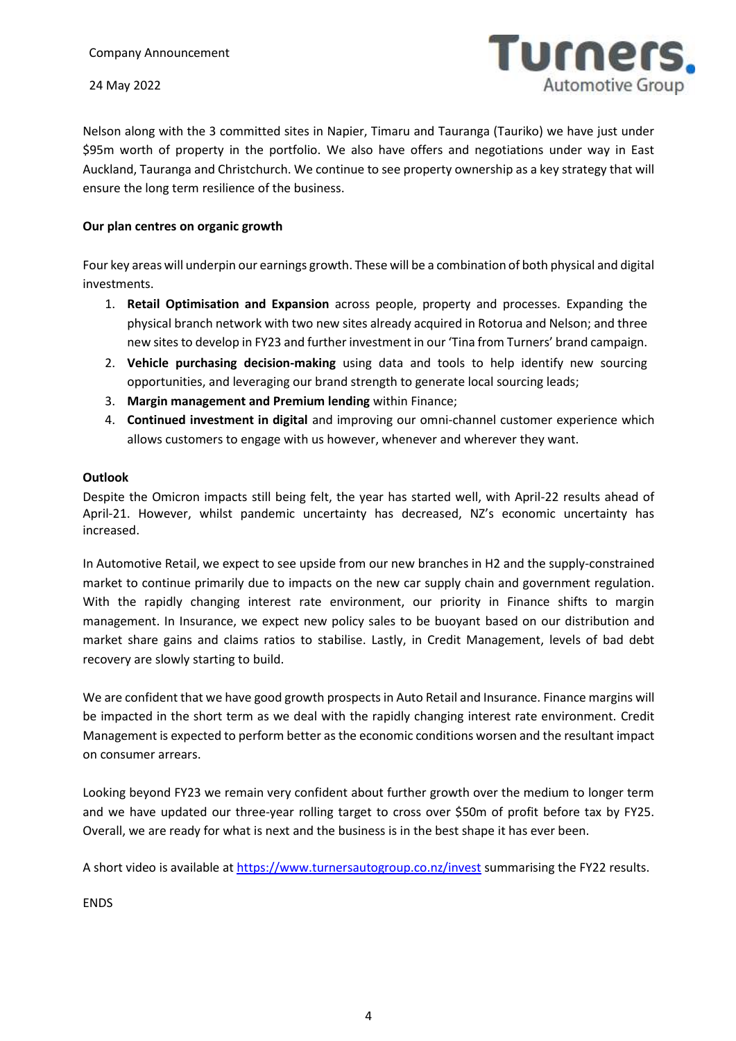

Nelson along with the 3 committed sites in Napier, Timaru and Tauranga (Tauriko) we have just under \$95m worth of property in the portfolio. We also have offers and negotiations under way in East Auckland, Tauranga and Christchurch. We continue to see property ownership as a key strategy that will ensure the long term resilience of the business.

#### **Our plan centres on organic growth**

Four key areas will underpin our earnings growth. These will be a combination of both physical and digital investments.

- 1. **Retail Optimisation and Expansion** across people, property and processes. Expanding the physical branch network with two new sites already acquired in Rotorua and Nelson; and three new sites to develop in FY23 and further investment in our 'Tina from Turners' brand campaign.
- 2. **Vehicle purchasing decision-making** using data and tools to help identify new sourcing opportunities, and leveraging our brand strength to generate local sourcing leads;
- 3. **Margin management and Premium lending** within Finance;
- 4. **Continued investment in digital** and improving our omni-channel customer experience which allows customers to engage with us however, whenever and wherever they want.

#### **Outlook**

Despite the Omicron impacts still being felt, the year has started well, with April-22 results ahead of April-21. However, whilst pandemic uncertainty has decreased, NZ's economic uncertainty has increased.

In Automotive Retail, we expect to see upside from our new branches in H2 and the supply-constrained market to continue primarily due to impacts on the new car supply chain and government regulation. With the rapidly changing interest rate environment, our priority in Finance shifts to margin management. In Insurance, we expect new policy sales to be buoyant based on our distribution and market share gains and claims ratios to stabilise. Lastly, in Credit Management, levels of bad debt recovery are slowly starting to build.

We are confident that we have good growth prospects in Auto Retail and Insurance. Finance margins will be impacted in the short term as we deal with the rapidly changing interest rate environment. Credit Management is expected to perform better as the economic conditions worsen and the resultant impact on consumer arrears.

Looking beyond FY23 we remain very confident about further growth over the medium to longer term and we have updated our three-year rolling target to cross over \$50m of profit before tax by FY25. Overall, we are ready for what is next and the business is in the best shape it has ever been.

A short video is available a[t https://www.turnersautogroup.co.nz/invest](https://www.turnersautogroup.co.nz/invest) summarising the FY22 results.

ENDS